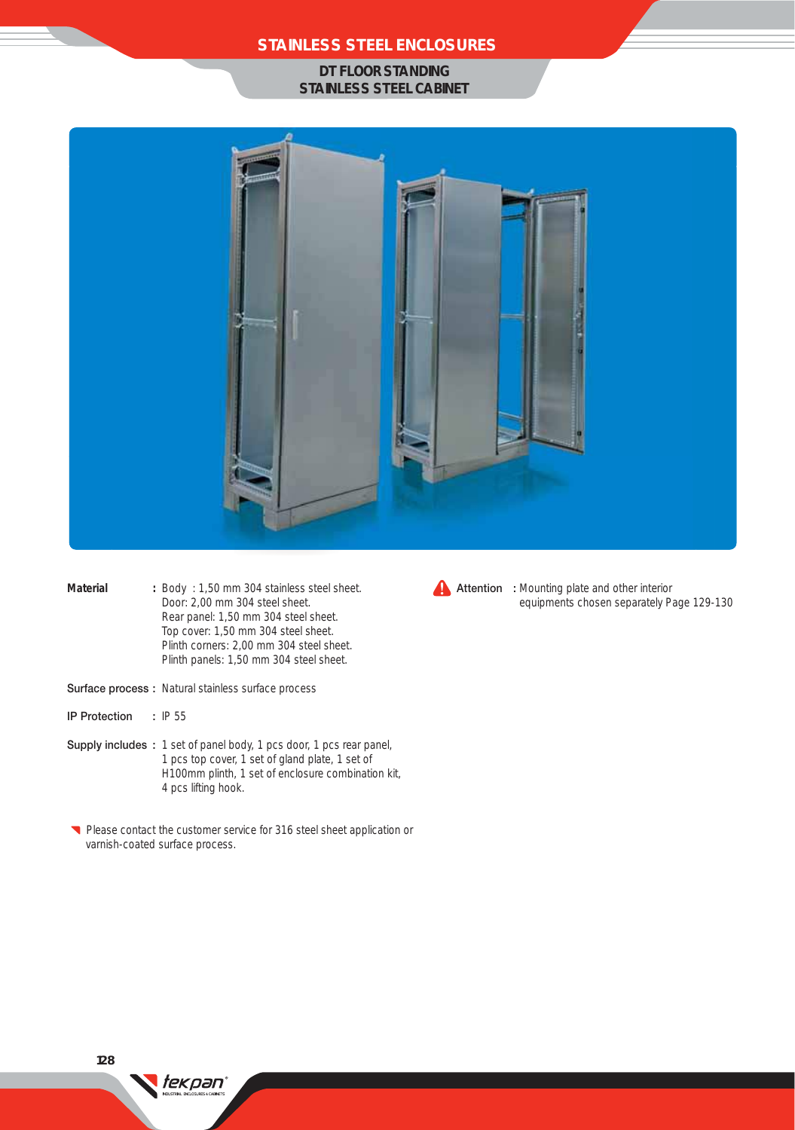### **STAINLESS STEEL ENCLOSURES**

#### **DT FLOOR STANDING STAINLESS STEEL CABINET**



- Material : Body : 1,50 mm 304 stainless steel sheet. Door: 2,00 mm 304 steel sheet. Rear panel: 1,50 mm 304 steel sheet. Top cover: 1,50 mm 304 steel sheet. Plinth corners: 2,00 mm 304 steel sheet. Plinth panels: 1,50 mm 304 steel sheet.
- Surface process : Natural stainless surface process

tekpan®

- IP Protection : IP 55
- Supply includes : 1 set of panel body, 1 pcs door, 1 pcs rear panel, 1 pcs top cover, 1 set of gland plate, 1 set of H100mm plinth, 1 set of enclosure combination kit, 4 pcs lifting hook.
- Please contact the customer service for 316 steel sheet application or varnish-coated surface process.



**Attention** : Mounting plate and other interior equipments chosen separately Page 129-130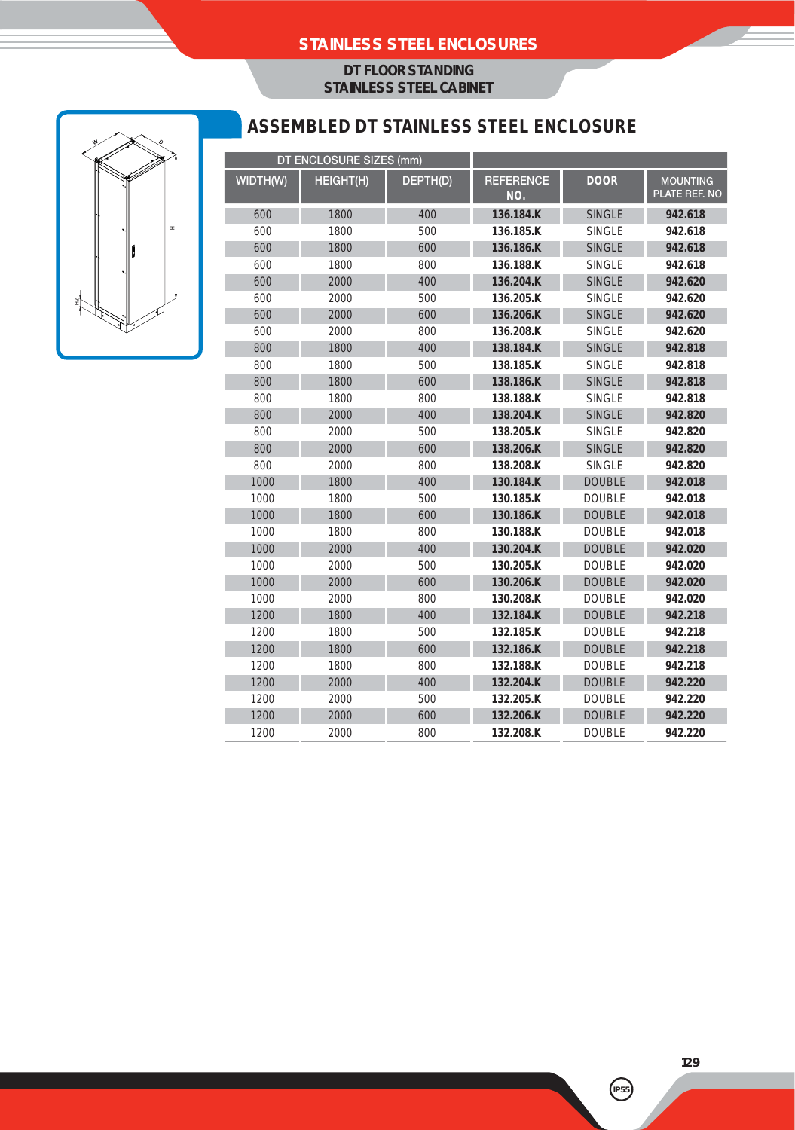### **STAINLESS STEEL ENCLOSURES**

### **DT FLOOR STANDING STAINLESS STEEL CABINET**



# **ASSEMBLED DT STAINLESS STEEL ENCLOSURE**

| DT ENCLOSURE SIZES (mm) |           |          |                         |               |                                  |
|-------------------------|-----------|----------|-------------------------|---------------|----------------------------------|
| WIDTH(W)                | HEIGHT(H) | DEPTH(D) | <b>REFERENCE</b><br>NO. | <b>DOOR</b>   | <b>MOUNTING</b><br>PLATE REF. NO |
| 600                     | 1800      | 400      | 136.184.K               | <b>SINGLE</b> | 942.618                          |
| 600                     | 1800      | 500      | 136.185.K               | <b>SINGLE</b> | 942.618                          |
| 600                     | 1800      | 600      | 136.186.K               | <b>SINGLE</b> | 942.618                          |
| 600                     | 1800      | 800      | 136.188.K               | <b>SINGLE</b> | 942.618                          |
| 600                     | 2000      | 400      | 136.204.K               | <b>SINGLE</b> | 942.620                          |
| 600                     | 2000      | 500      | 136.205.K               | <b>SINGLE</b> | 942.620                          |
| 600                     | 2000      | 600      | 136.206.K               | <b>SINGLE</b> | 942.620                          |
| 600                     | 2000      | 800      | 136.208.K               | <b>SINGLE</b> | 942.620                          |
| 800                     | 1800      | 400      | 138.184.K               | <b>SINGLE</b> | 942.818                          |
| 800                     | 1800      | 500      | 138.185.K               | <b>SINGLE</b> | 942.818                          |
| 800                     | 1800      | 600      | 138.186.K               | <b>SINGLE</b> | 942.818                          |
| 800                     | 1800      | 800      | 138.188.K               | <b>SINGLE</b> | 942.818                          |
| 800                     | 2000      | 400      | 138.204.K               | <b>SINGLE</b> | 942.820                          |
| 800                     | 2000      | 500      | 138.205.K               | <b>SINGLE</b> | 942.820                          |
| 800                     | 2000      | 600      | 138.206.K               | <b>SINGLE</b> | 942.820                          |
| 800                     | 2000      | 800      | 138.208.K               | <b>SINGLE</b> | 942.820                          |
| 1000                    | 1800      | 400      | 130.184.K               | <b>DOUBLE</b> | 942.018                          |
| 1000                    | 1800      | 500      | 130.185.K               | <b>DOUBLE</b> | 942.018                          |
| 1000                    | 1800      | 600      | 130.186.K               | <b>DOUBLE</b> | 942.018                          |
| 1000                    | 1800      | 800      | 130.188.K               | <b>DOUBLE</b> | 942.018                          |
| 1000                    | 2000      | 400      | 130.204.K               | <b>DOUBLE</b> | 942.020                          |
| 1000                    | 2000      | 500      | 130.205.K               | <b>DOUBLE</b> | 942.020                          |
| 1000                    | 2000      | 600      | 130.206.K               | <b>DOUBLE</b> | 942.020                          |
| 1000                    | 2000      | 800      | 130.208.K               | <b>DOUBLE</b> | 942.020                          |
| 1200                    | 1800      | 400      | 132.184.K               | <b>DOUBLE</b> | 942.218                          |
| 1200                    | 1800      | 500      | 132.185.K               | <b>DOUBLE</b> | 942.218                          |
| 1200                    | 1800      | 600      | 132.186.K               | <b>DOUBLE</b> | 942.218                          |
| 1200                    | 1800      | 800      | 132.188.K               | <b>DOUBLE</b> | 942.218                          |
| 1200                    | 2000      | 400      | 132.204.K               | <b>DOUBLE</b> | 942.220                          |
| 1200                    | 2000      | 500      | 132.205.K               | <b>DOUBLE</b> | 942.220                          |
| 1200                    | 2000      | 600      | 132.206.K               | <b>DOUBLE</b> | 942.220                          |
| 1200                    | 2000      | 800      | 132.208.K               | <b>DOUBLE</b> | 942.220                          |

**129**

**IP55**